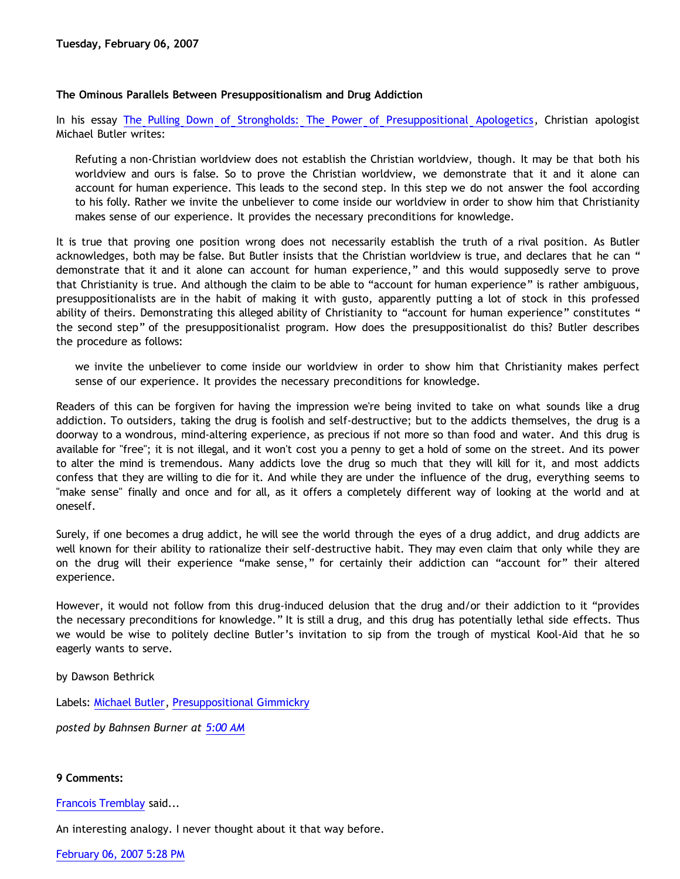## **The Ominous Parallels Between Presuppositionalism and Drug Addiction**

In his essay [The Pulling Down of Strongholds: The Power of Presuppositional Apologetics](http://butler-harris.org/archives/158), Christian apologist Michael Butler writes:

Refuting a non-Christian worldview does not establish the Christian worldview, though. It may be that both his worldview and ours is false. So to prove the Christian worldview, we demonstrate that it and it alone can account for human experience. This leads to the second step. In this step we do not answer the fool according to his folly. Rather we invite the unbeliever to come inside our worldview in order to show him that Christianity makes sense of our experience. It provides the necessary preconditions for knowledge.

It is true that proving one position wrong does not necessarily establish the truth of a rival position. As Butler acknowledges, both may be false. But Butler insists that the Christian worldview is true, and declares that he can " demonstrate that it and it alone can account for human experience," and this would supposedly serve to prove that Christianity is true. And although the claim to be able to "account for human experience" is rather ambiguous, presuppositionalists are in the habit of making it with gusto, apparently putting a lot of stock in this professed ability of theirs. Demonstrating this alleged ability of Christianity to "account for human experience" constitutes " the second step" of the presuppositionalist program. How does the presuppositionalist do this? Butler describes the procedure as follows:

we invite the unbeliever to come inside our worldview in order to show him that Christianity makes perfect sense of our experience. It provides the necessary preconditions for knowledge.

Readers of this can be forgiven for having the impression we're being invited to take on what sounds like a drug addiction. To outsiders, taking the drug is foolish and self-destructive; but to the addicts themselves, the drug is a doorway to a wondrous, mind-altering experience, as precious if not more so than food and water. And this drug is available for "free"; it is not illegal, and it won't cost you a penny to get a hold of some on the street. And its power to alter the mind is tremendous. Many addicts love the drug so much that they will kill for it, and most addicts confess that they are willing to die for it. And while they are under the influence of the drug, everything seems to "make sense" finally and once and for all, as it offers a completely different way of looking at the world and at oneself.

Surely, if one becomes a drug addict, he will see the world through the eyes of a drug addict, and drug addicts are well known for their ability to rationalize their self-destructive habit. They may even claim that only while they are on the drug will their experience "make sense," for certainly their addiction can "account for" their altered experience.

However, it would not follow from this drug-induced delusion that the drug and/or their addiction to it "provides the necessary preconditions for knowledge." It is still a drug, and this drug has potentially lethal side effects. Thus we would be wise to politely decline Butler's invitation to sip from the trough of mystical Kool-Aid that he so eagerly wants to serve.

by Dawson Bethrick

Labels: [Michael Butler,](http://bahnsenburner.blogspot.com/search/label/Michael%20Butler) [Presuppositional Gimmickry](http://bahnsenburner.blogspot.com/search/label/Presuppositional%20Gimmickry)

*posted by Bahnsen Burner at [5:00 AM](http://bahnsenburner.blogspot.com/2007/02/ominous-parallels-between.html)*

## **9 Comments:**

[Francois Tremblay](http://www.blogger.com/profile/04760072622693359795) said...

An interesting analogy. I never thought about it that way before.

[February 06, 2007 5:28 PM](http://bahnsenburner.blogspot.com/2007/02/6558256195422392584)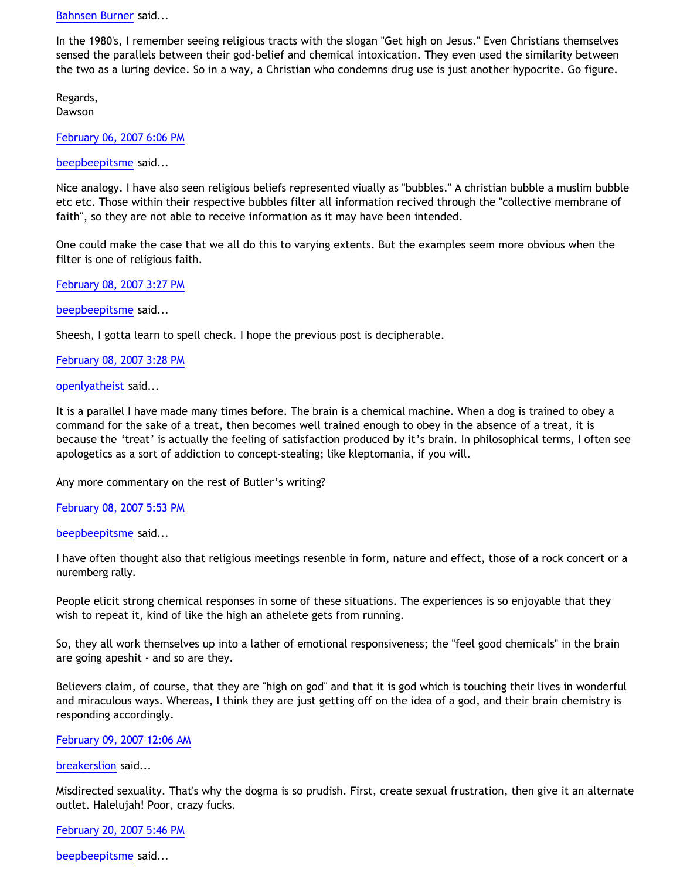[Bahnsen Burner](http://www.blogger.com/profile/11030029491768748360) said...

In the 1980's, I remember seeing religious tracts with the slogan "Get high on Jesus." Even Christians themselves sensed the parallels between their god-belief and chemical intoxication. They even used the similarity between the two as a luring device. So in a way, a Christian who condemns drug use is just another hypocrite. Go figure.

Regards, Dawson

[February 06, 2007 6:06 PM](http://bahnsenburner.blogspot.com/2007/02/333145160910615313)

[beepbeepitsme](http://www.blogger.com/profile/12931640447011071849) said...

Nice analogy. I have also seen religious beliefs represented viually as "bubbles." A christian bubble a muslim bubble etc etc. Those within their respective bubbles filter all information recived through the "collective membrane of faith", so they are not able to receive information as it may have been intended.

One could make the case that we all do this to varying extents. But the examples seem more obvious when the filter is one of religious faith.

[February 08, 2007 3:27 PM](http://bahnsenburner.blogspot.com/2007/02/1516490215277423215)

[beepbeepitsme](http://www.blogger.com/profile/12931640447011071849) said...

Sheesh, I gotta learn to spell check. I hope the previous post is decipherable.

[February 08, 2007 3:28 PM](http://bahnsenburner.blogspot.com/2007/02/3762030176140432038)

[openlyatheist](http://www.blogger.com/profile/21582664) said...

It is a parallel I have made many times before. The brain is a chemical machine. When a dog is trained to obey a command for the sake of a treat, then becomes well trained enough to obey in the absence of a treat, it is because the 'treat' is actually the feeling of satisfaction produced by it's brain. In philosophical terms, I often see apologetics as a sort of addiction to concept-stealing; like kleptomania, if you will.

Any more commentary on the rest of Butler's writing?

[February 08, 2007 5:53 PM](http://bahnsenburner.blogspot.com/2007/02/5459096758425777187)

[beepbeepitsme](http://www.blogger.com/profile/12931640447011071849) said...

I have often thought also that religious meetings resenble in form, nature and effect, those of a rock concert or a nuremberg rally.

People elicit strong chemical responses in some of these situations. The experiences is so enjoyable that they wish to repeat it, kind of like the high an athelete gets from running.

So, they all work themselves up into a lather of emotional responsiveness; the "feel good chemicals" in the brain are going apeshit - and so are they.

Believers claim, of course, that they are "high on god" and that it is god which is touching their lives in wonderful and miraculous ways. Whereas, I think they are just getting off on the idea of a god, and their brain chemistry is responding accordingly.

[February 09, 2007 12:06 AM](http://bahnsenburner.blogspot.com/2007/02/6331474357060227730)

[breakerslion](http://www.blogger.com/profile/14327290369084118043) said...

Misdirected sexuality. That's why the dogma is so prudish. First, create sexual frustration, then give it an alternate outlet. Halelujah! Poor, crazy fucks.

[February 20, 2007 5:46 PM](http://bahnsenburner.blogspot.com/2007/02/7031583297701497402)

[beepbeepitsme](http://www.blogger.com/profile/12931640447011071849) said...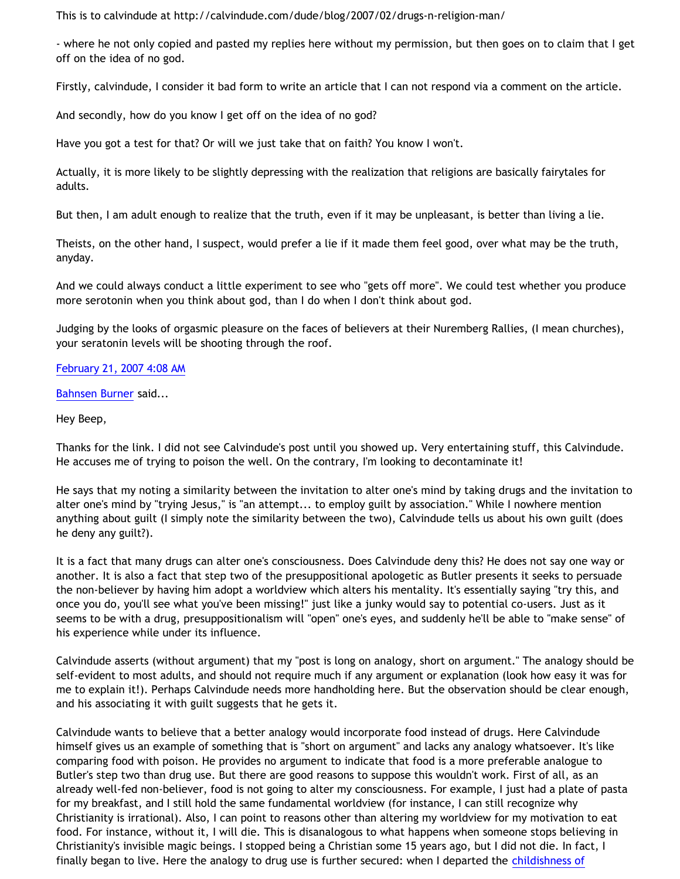This is to calvindude at <http://calvindude.com/dude/blog/2007/02/drugs-n-religion-man/>

- where he not only copied and pasted my replies here without my permission, but then goes on to claim that I get off on the idea of no god.

Firstly, calvindude, I consider it bad form to write an article that I can not respond via a comment on the article.

And secondly, how do you know I get off on the idea of no god?

Have you got a test for that? Or will we just take that on faith? You know I won't.

Actually, it is more likely to be slightly depressing with the realization that religions are basically fairytales for adults.

But then, I am adult enough to realize that the truth, even if it may be unpleasant, is better than living a lie.

Theists, on the other hand, I suspect, would prefer a lie if it made them feel good, over what may be the truth, anyday.

And we could always conduct a little experiment to see who "gets off more". We could test whether you produce more serotonin when you think about god, than I do when I don't think about god.

Judging by the looks of orgasmic pleasure on the faces of believers at their Nuremberg Rallies, (I mean churches), your seratonin levels will be shooting through the roof.

## [February 21, 2007 4:08 AM](http://bahnsenburner.blogspot.com/2007/02/6893298454117200414)

[Bahnsen Burner](http://www.blogger.com/profile/11030029491768748360) said...

## Hey Beep,

Thanks for the link. I did not see Calvindude's post until you showed up. Very entertaining stuff, this Calvindude. He accuses me of trying to poison the well. On the contrary, I'm looking to decontaminate it!

He says that my noting a similarity between the invitation to alter one's mind by taking drugs and the invitation to alter one's mind by "trying Jesus," is "an attempt... to employ guilt by association." While I nowhere mention anything about guilt (I simply note the similarity between the two), Calvindude tells us about his own guilt (does he deny any guilt?).

It is a fact that many drugs can alter one's consciousness. Does Calvindude deny this? He does not say one way or another. It is also a fact that step two of the presuppositional apologetic as Butler presents it seeks to persuade the non-believer by having him adopt a worldview which alters his mentality. It's essentially saying "try this, and once you do, you'll see what you've been missing!" just like a junky would say to potential co-users. Just as it seems to be with a drug, presuppositionalism will "open" one's eyes, and suddenly he'll be able to "make sense" of his experience while under its influence.

Calvindude asserts (without argument) that my "post is long on analogy, short on argument." The analogy should be self-evident to most adults, and should not require much if any argument or explanation (look how easy it was for me to explain it!). Perhaps Calvindude needs more handholding here. But the observation should be clear enough, and his associating it with guilt suggests that he gets it.

Calvindude wants to believe that a better analogy would incorporate food instead of drugs. Here Calvindude himself gives us an example of something that is "short on argument" and lacks any analogy whatsoever. It's like comparing food with poison. He provides no argument to indicate that food is a more preferable analogue to Butler's step two than drug use. But there are good reasons to suppose this wouldn't work. First of all, as an already well-fed non-believer, food is not going to alter my consciousness. For example, I just had a plate of pasta for my breakfast, and I still hold the same fundamental worldview (for instance, I can still recognize why Christianity is irrational). Also, I can point to reasons other than altering my worldview for my motivation to eat food. For instance, without it, I will die. This is disanalogous to what happens when someone stops believing in Christianity's invisible magic beings. I stopped being a Christian some 15 years ago, but I did not die. In fact, I finally began to live. Here the analogy to drug use is further secured: when I departed the [childishness of](http://bahnsenburner.blogspot.com/2005/12/with-minds-of-children.html)